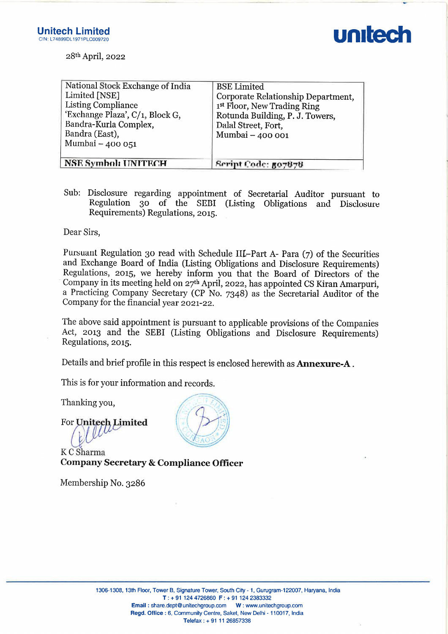| 99DL1971PLC009720                                                                                                                                                                  |                                                                                                                                                                                   |
|------------------------------------------------------------------------------------------------------------------------------------------------------------------------------------|-----------------------------------------------------------------------------------------------------------------------------------------------------------------------------------|
| $28th$ April, 2022                                                                                                                                                                 |                                                                                                                                                                                   |
| National Stock Exchange of India<br>Limited [NSE]<br><b>Listing Compliance</b><br>'Exchange Plaza', C/1, Block G,<br>Bandra-Kurla Complex,<br>Bandra (East),<br>Mumbai $-$ 400 051 | <b>BSE</b> Limited<br>Corporate Relationship Department,<br>1 <sup>st</sup> Floor, New Trading Ring<br>Rotunda Building, P. J. Towers,<br>Dalal Street, Fort,<br>Mumbai - 400 001 |
| <b>NSE Symbol: UNITECH</b>                                                                                                                                                         | Script Code: 507878                                                                                                                                                               |

Sub: Disclosure regarding appointment of Secretarial Auditor pursuant to Regulation 30 of the SEBI (Listing Obligations and Disclosure Requirements) Regulations, 2015.

Dear Sirs,

Pursuant Regulation 30 read with Schedule II**I**-Part A- Para (7) of the Securities<br>and Exchange Board of India (Listing Obligations and Disclosure Requirements)<br>Regulations, 2015, we hereby inform you that the Board of Di Company for the financial year 2021-22. 1306-1308, 1306-1308, 1306-1308, 1308-1308, 1308-1308, 1308-1308, 1308-1308, 1308-1308, 1308-1308, 1308-1308, 1308-1308, 1308-1308, 1308-1308, 1308-1308, 1308-1308, 1308-1308, 1308-1308, 1308-1308, 1308-1308, 1308-1308, 1

The above said appointment is pursuant to applicable provisions of the Companies Act, 2013 and the SEBI (Listing Obligations and Disclosure Requirements) Regulations, 2015.

Details and brief profile in this respect is enclosed herewith as Annexure-A .

This is for your information and records.

Thanking you,

For Unitech Limited Waterman V

KC Sharma Company Secretary & Compliance Officer

Membership No. 3286